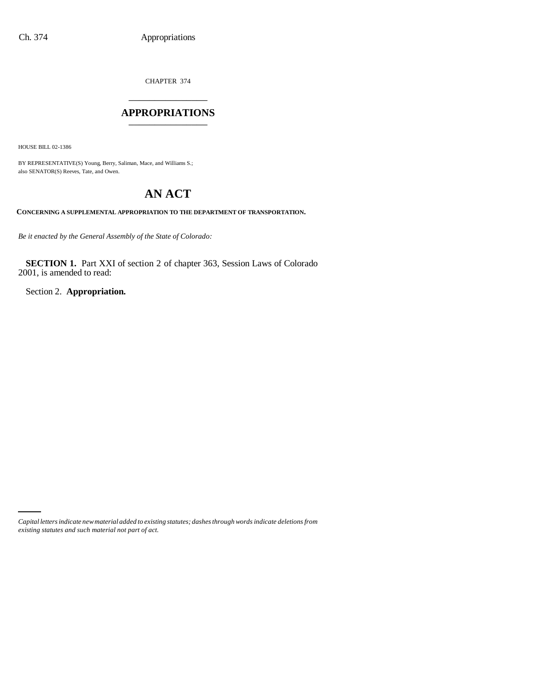CHAPTER 374

## \_\_\_\_\_\_\_\_\_\_\_\_\_\_\_ **APPROPRIATIONS** \_\_\_\_\_\_\_\_\_\_\_\_\_\_\_

HOUSE BILL 02-1386

BY REPRESENTATIVE(S) Young, Berry, Saliman, Mace, and Williams S.; also SENATOR(S) Reeves, Tate, and Owen.

# **AN ACT**

**CONCERNING A SUPPLEMENTAL APPROPRIATION TO THE DEPARTMENT OF TRANSPORTATION.**

*Be it enacted by the General Assembly of the State of Colorado:*

**SECTION 1.** Part XXI of section 2 of chapter 363, Session Laws of Colorado 2001, is amended to read:

Section 2. **Appropriation.**

*Capital letters indicate new material added to existing statutes; dashes through words indicate deletions from existing statutes and such material not part of act.*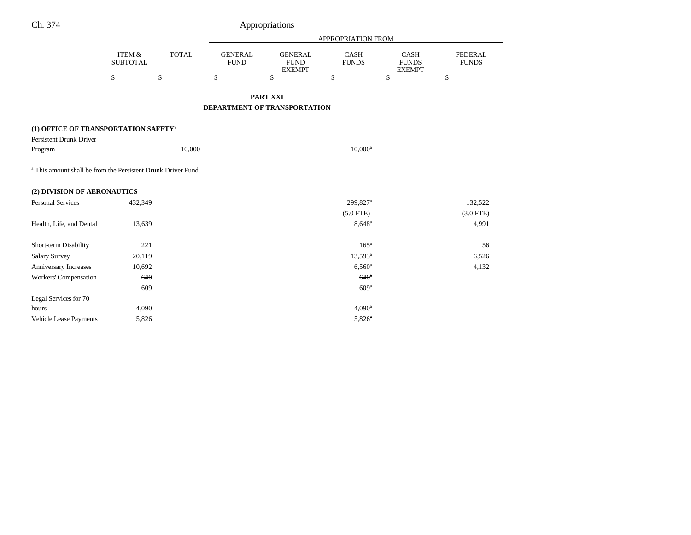|                                                                          |                                      |              | <b>APPROPRIATION FROM</b>     |                                                |                             |                                              |                                |
|--------------------------------------------------------------------------|--------------------------------------|--------------|-------------------------------|------------------------------------------------|-----------------------------|----------------------------------------------|--------------------------------|
|                                                                          | <b>ITEM &amp;</b><br><b>SUBTOTAL</b> | <b>TOTAL</b> | <b>GENERAL</b><br><b>FUND</b> | <b>GENERAL</b><br><b>FUND</b><br><b>EXEMPT</b> | <b>CASH</b><br><b>FUNDS</b> | <b>CASH</b><br><b>FUNDS</b><br><b>EXEMPT</b> | <b>FEDERAL</b><br><b>FUNDS</b> |
|                                                                          | \$                                   | \$           | \$                            | \$                                             | \$                          | \$                                           | \$                             |
|                                                                          |                                      |              |                               | PART XXI                                       |                             |                                              |                                |
|                                                                          |                                      |              |                               | <b>DEPARTMENT OF TRANSPORTATION</b>            |                             |                                              |                                |
| (1) OFFICE OF TRANSPORTATION SAFETY <sup>7</sup>                         |                                      |              |                               |                                                |                             |                                              |                                |
| <b>Persistent Drunk Driver</b>                                           |                                      |              |                               |                                                |                             |                                              |                                |
| Program                                                                  |                                      | 10,000       |                               |                                                | $10,000^a$                  |                                              |                                |
| <sup>a</sup> This amount shall be from the Persistent Drunk Driver Fund. |                                      |              |                               |                                                |                             |                                              |                                |
| (2) DIVISION OF AERONAUTICS                                              |                                      |              |                               |                                                |                             |                                              |                                |
| <b>Personal Services</b>                                                 | 432,349                              |              |                               |                                                | 299,827 <sup>a</sup>        |                                              | 132,522                        |
|                                                                          |                                      |              |                               |                                                | $(5.0$ FTE)                 |                                              | $(3.0$ FTE)                    |
| Health, Life, and Dental                                                 | 13,639                               |              |                               |                                                | $8,648^{\circ}$             |                                              | 4,991                          |
|                                                                          |                                      |              |                               |                                                |                             |                                              |                                |
| Short-term Disability                                                    | 221                                  |              |                               |                                                | 165 <sup>a</sup>            |                                              | 56                             |
| <b>Salary Survey</b>                                                     | 20,119                               |              |                               |                                                | 13,593 <sup>a</sup>         |                                              | 6,526                          |
| Anniversary Increases                                                    | 10,692                               |              |                               |                                                | $6,560$ <sup>a</sup>        |                                              | 4,132                          |
| Workers' Compensation                                                    | 640                                  |              |                               |                                                | 640 <sup>a</sup>            |                                              |                                |
|                                                                          | 609                                  |              |                               |                                                | 609 <sup>a</sup>            |                                              |                                |
| Legal Services for 70                                                    |                                      |              |                               |                                                |                             |                                              |                                |
| hours                                                                    | 4,090                                |              |                               |                                                | $4,090^{\rm a}$             |                                              |                                |
| Vehicle Lease Payments                                                   | 5,826                                |              |                               |                                                | $5,826$ <sup>a</sup>        |                                              |                                |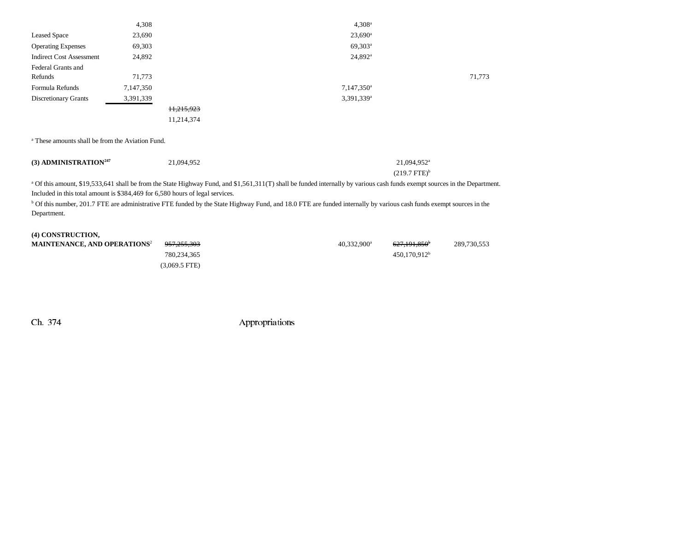|                                 | 4,308     |            | 4.308 <sup>a</sup>       |        |
|---------------------------------|-----------|------------|--------------------------|--------|
| <b>Leased Space</b>             | 23,690    |            | $23,690^{\circ}$         |        |
| <b>Operating Expenses</b>       | 69,303    |            | $69,303^{\rm a}$         |        |
| <b>Indirect Cost Assessment</b> | 24,892    |            | $24,892^{\circ}$         |        |
| Federal Grants and              |           |            |                          |        |
| Refunds                         | 71,773    |            |                          | 71,773 |
| Formula Refunds                 | 7,147,350 |            | $7,147,350$ <sup>a</sup> |        |
| Discretionary Grants            | 3,391,339 |            | $3,391,339$ <sup>a</sup> |        |
|                                 |           | 11,215,923 |                          |        |
|                                 |           | 11,214,374 |                          |        |

a These amounts shall be from the Aviation Fund.

| $(3)$ ADMINISTRATION <sup>247</sup> | 21,094,952 | 21.094.952 <sup>a</sup> |
|-------------------------------------|------------|-------------------------|
|                                     |            | $(219.7 \text{ FTE})^6$ |

<sup>a</sup> Of this amount, \$19,533,641 shall be from the State Highway Fund, and \$1,561,311(T) shall be funded internally by various cash funds exempt sources in the Department. Included in this total amount is \$384,469 for 6,580 hours of legal services.

<sup>b</sup> Of this number, 201.7 FTE are administrative FTE funded by the State Highway Fund, and 18.0 FTE are funded internally by various cash funds exempt sources in the Department.

| (4) CONSTRUCTION,                              |                        |                           |                          |             |
|------------------------------------------------|------------------------|---------------------------|--------------------------|-------------|
| <b>MAINTENANCE, AND OPERATIONS<sup>2</sup></b> | <del>957.255.303</del> | $40.332.900^{\mathrm{a}}$ | <del>627.191.850</del>   | 289,730,553 |
|                                                | 780.234.365            |                           | 450.170.912 <sup>b</sup> |             |
|                                                | $(3.069.5$ FTE)        |                           |                          |             |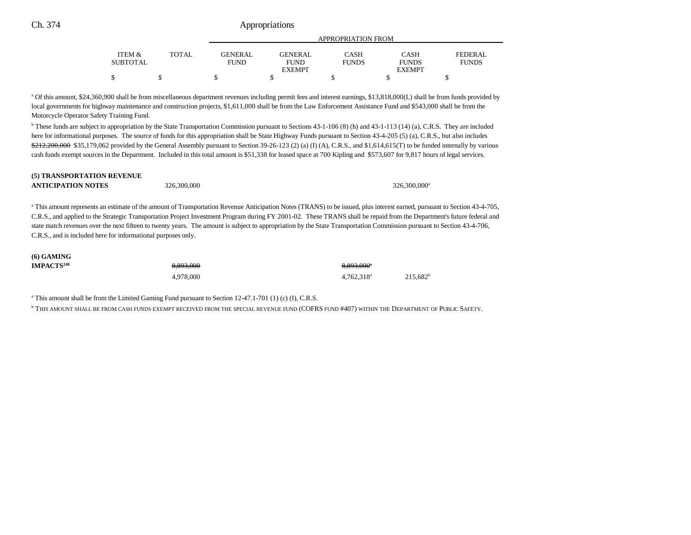Ch. 374 Appropriations

|                   |        | APPROPRIATION FROM |                |              |               |                |  |
|-------------------|--------|--------------------|----------------|--------------|---------------|----------------|--|
| <b>ITEM &amp;</b> | TOTAL. | <b>GENERAL</b>     | <b>GENERAL</b> | CASH         | CASH          | <b>FEDERAL</b> |  |
| SUBTOTAL          |        | <b>FUND</b>        | <b>FUND</b>    | <b>FUNDS</b> | <b>FUNDS</b>  | <b>FUNDS</b>   |  |
|                   |        |                    | <b>EXEMPT</b>  |              | <b>EXEMPT</b> |                |  |
|                   |        |                    |                |              |               |                |  |

<sup>a</sup> Of this amount, \$24,360,900 shall be from miscellaneous department revenues including permit fees and interest earnings, \$13,818,000(L) shall be from funds provided by local governments for highway maintenance and construction projects, \$1,611,000 shall be from the Law Enforcement Assistance Fund and \$543,000 shall be from the Motorcycle Operator Safety Training Fund.

<sup>b</sup> These funds are subject to appropriation by the State Transportation Commission pursuant to Sections 43-1-106 (8) (h) and 43-1-113 (14) (a), C.R.S. They are included here for informational purposes. The source of funds for this appropriation shall be State Highway Funds pursuant to Section 43-4-205 (5) (a), C.R.S., but also includes  $$212,200,000$  \$35,179,062 provided by the General Assembly pursuant to Section 39-26-123 (2) (a) (I) (A), C.R.S., and \$1,614,615(T) to be funded internally by various cash funds exempt sources in the Department. Included in this total amount is \$51,338 for leased space at 700 Kipling and \$573,607 for 9,817 hours of legal services.

#### **(5) TRANSPORTATION REVENUE**

| <b>ANTICIPATION NOTES</b> |  |
|---------------------------|--|
|                           |  |

 $326,300,000$   $326,300,000$ <sup>a</sup>

<sup>a</sup> This amount represents an estimate of the amount of Transportation Revenue Anticipation Notes (TRANS) to be issued, plus interest earned, pursuant to Section 43-4-705, C.R.S., and applied to the Strategic Transportation Project Investment Program during FY 2001-02. These TRANS shall be repaid from the Department's future federal and state match revenues over the next fifteen to twenty years. The amount is subject to appropriation by the State Transportation Commission pursuant to Section 43-4-706, C.R.S., and is included here for informational purposes only.

| <b>(6) GAMING</b>      |           |                                                  |  |
|------------------------|-----------|--------------------------------------------------|--|
| IMPACTS <sup>248</sup> | 8,893,000 | 8,893,000 <sup>a</sup>                           |  |
|                        | 4.978.000 | $215,682$ <sup>t</sup><br>4.762.318 <sup>a</sup> |  |

a This amount shall be from the Limited Gaming Fund pursuant to Section 12-47.1-701 (1) (c) (I), C.R.S.

b THIS AMOUNT SHALL BE FROM CASH FUNDS EXEMPT RECEIVED FROM THE SPECIAL REVENUE FUND (COFRS FUND #407) WITHIN THE DEPARTMENT OF PUBLIC SAFETY.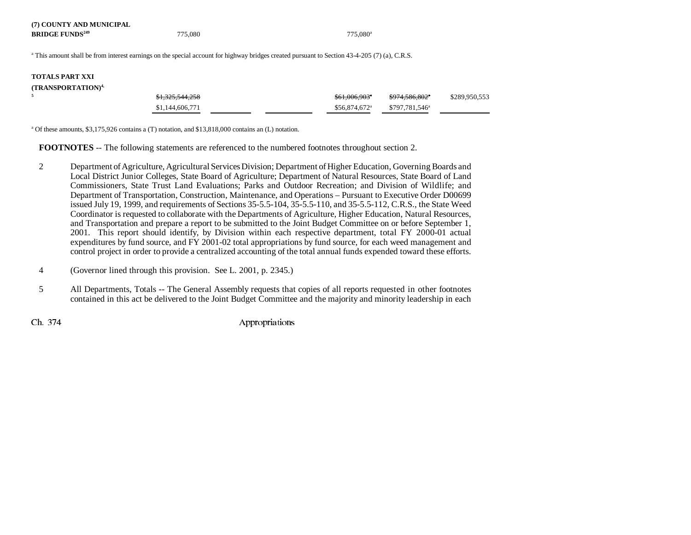| (7) COUNTY AND MUNICIPAL          |         |                      |
|-----------------------------------|---------|----------------------|
| <b>BRIDGE FUNDS<sup>249</sup></b> | 775,080 | 775.080 <sup>a</sup> |

<sup>a</sup> This amount shall be from interest earnings on the special account for highway bridges created pursuant to Section 43-4-205 (7) (a), C.R.S.

### **TOTALS PART XXI(TRANSPORTATION)4,**

| (I KANSPOK LA HON) " |                            |                            |                            |               |
|----------------------|----------------------------|----------------------------|----------------------------|---------------|
|                      | <del>\$1,325,544,258</del> | \$61,006,903 <sup>*</sup>  | <del>\$974,586,802</del> * | \$289,950,553 |
|                      | \$1,144,606,771            | $$56.874.672$ <sup>a</sup> | \$797.781.546 <sup>a</sup> |               |

a Of these amounts, \$3,175,926 contains a (T) notation, and \$13,818,000 contains an (L) notation.

**FOOTNOTES** -- The following statements are referenced to the numbered footnotes throughout section 2.

- 2 Department of Agriculture, Agricultural Services Division; Department of Higher Education, Governing Boards and Local District Junior Colleges, State Board of Agriculture; Department of Natural Resources, State Board of Land Commissioners, State Trust Land Evaluations; Parks and Outdoor Recreation; and Division of Wildlife; and Department of Transportation, Construction, Maintenance, and Operations – Pursuant to Executive Order D00699 issued July 19, 1999, and requirements of Sections 35-5.5-104, 35-5.5-110, and 35-5.5-112, C.R.S., the State Weed Coordinator is requested to collaborate with the Departments of Agriculture, Higher Education, Natural Resources, and Transportation and prepare a report to be submitted to the Joint Budget Committee on or before September 1, 2001. This report should identify, by Division within each respective department, total FY 2000-01 actual expenditures by fund source, and FY 2001-02 total appropriations by fund source, for each weed management and control project in order to provide a centralized accounting of the total annual funds expended toward these efforts.
- 4 (Governor lined through this provision. See L. 2001, p. 2345.)
- 5 All Departments, Totals -- The General Assembly requests that copies of all reports requested in other footnotes contained in this act be delivered to the Joint Budget Committee and the majority and minority leadership in each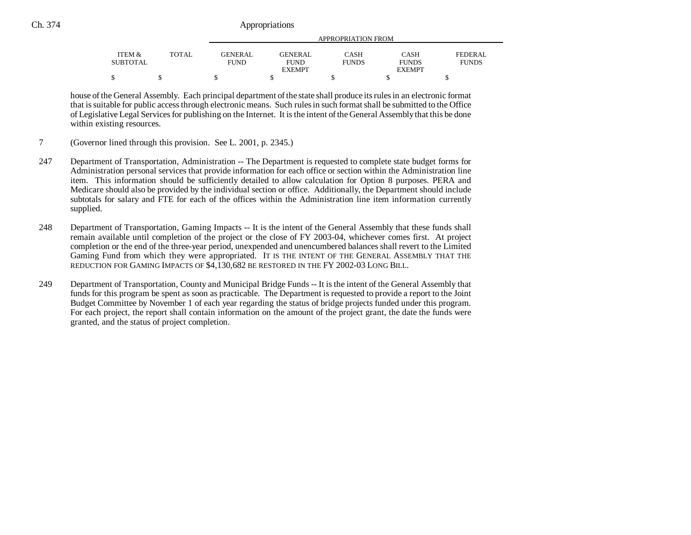### Ch. 374 Appropriations

|                 |       |                | APPROPRIATION FROM |              |               |              |  |
|-----------------|-------|----------------|--------------------|--------------|---------------|--------------|--|
| ITEM &          | TOTAL | <b>GENERAL</b> | <b>GENERAL</b>     | CASH         | CASH          | FEDERAL      |  |
| <b>SUBTOTAL</b> |       | <b>FUND</b>    | <b>FUND</b>        | <b>FUNDS</b> | <b>FUNDS</b>  | <b>FUNDS</b> |  |
|                 |       |                | <b>EXEMPT</b>      |              | <b>EXEMPT</b> |              |  |
|                 |       |                |                    |              |               |              |  |

house of the General Assembly. Each principal department of the state shall produce its rules in an electronic format that is suitable for public access through electronic means. Such rules in such format shall be submitted to the Office of Legislative Legal Services for publishing on the Internet. It is the intent of the General Assembly that this be done within existing resources.

- 7 (Governor lined through this provision. See L. 2001, p. 2345.)
- 247 Department of Transportation, Administration -- The Department is requested to complete state budget forms for Administration personal services that provide information for each office or section within the Administration line item. This information should be sufficiently detailed to allow calculation for Option 8 purposes. PERA and Medicare should also be provided by the individual section or office. Additionally, the Department should include subtotals for salary and FTE for each of the offices within the Administration line item information currently supplied.
- 248 Department of Transportation, Gaming Impacts -- It is the intent of the General Assembly that these funds shall remain available until completion of the project or the close of FY 2003-04, whichever comes first. At project completion or the end of the three-year period, unexpended and unencumbered balances shall revert to the Limited Gaming Fund from which they were appropriated. IT IS THE INTENT OF THE GENERAL ASSEMBLY THAT THE REDUCTION FOR GAMING IMPACTS OF \$4,130,682 BE RESTORED IN THE FY 2002-03 LONG BILL.
- 249 Department of Transportation, County and Municipal Bridge Funds -- It is the intent of the General Assembly that funds for this program be spent as soon as practicable. The Department is requested to provide a report to the Joint Budget Committee by November 1 of each year regarding the status of bridge projects funded under this program. For each project, the report shall contain information on the amount of the project grant, the date the funds were granted, and the status of project completion.